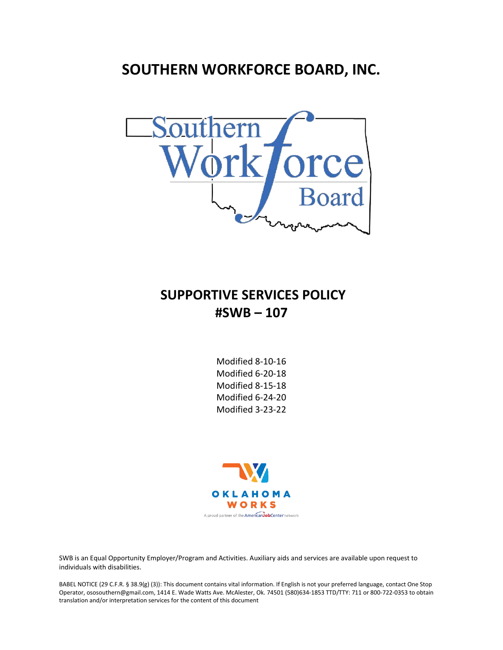# **SOUTHERN WORKFORCE BOARD, INC.**



## **SUPPORTIVE SERVICES POLICY #SWB – 107**

Modified 8-10-16 Modified 6-20-18 Modified 8-15-18 Modified 6-24-20 Modified 3-23-22



SWB is an Equal Opportunity Employer/Program and Activities. Auxiliary aids and services are available upon request to individuals with disabilities.

BABEL NOTICE (29 C.F.R. § 38.9(g) (3)): This document contains vital information. If English is not your preferred language, contact One Stop Operator, ososouthern@gmail.com, 1414 E. Wade Watts Ave. McAlester, Ok. 74501 (580)634-1853 TTD/TTY: 711 or 800-722-0353 to obtain translation and/or interpretation services for the content of this document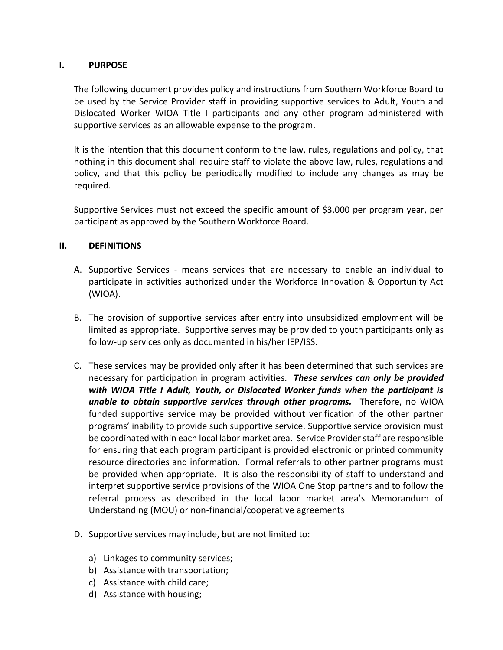### **I. PURPOSE**

The following document provides policy and instructions from Southern Workforce Board to be used by the Service Provider staff in providing supportive services to Adult, Youth and Dislocated Worker WIOA Title I participants and any other program administered with supportive services as an allowable expense to the program.

It is the intention that this document conform to the law, rules, regulations and policy, that nothing in this document shall require staff to violate the above law, rules, regulations and policy, and that this policy be periodically modified to include any changes as may be required.

Supportive Services must not exceed the specific amount of \$3,000 per program year, per participant as approved by the Southern Workforce Board.

### **II. DEFINITIONS**

- A. Supportive Services means services that are necessary to enable an individual to participate in activities authorized under the Workforce Innovation & Opportunity Act (WIOA).
- B. The provision of supportive services after entry into unsubsidized employment will be limited as appropriate. Supportive serves may be provided to youth participants only as follow-up services only as documented in his/her IEP/ISS.
- C. These services may be provided only after it has been determined that such services are necessary for participation in program activities. *These services can only be provided with WIOA Title I Adult, Youth, or Dislocated Worker funds when the participant is unable to obtain supportive services through other programs.* Therefore, no WIOA funded supportive service may be provided without verification of the other partner programs' inability to provide such supportive service. Supportive service provision must be coordinated within each local labor market area. Service Provider staff are responsible for ensuring that each program participant is provided electronic or printed community resource directories and information. Formal referrals to other partner programs must be provided when appropriate. It is also the responsibility of staff to understand and interpret supportive service provisions of the WIOA One Stop partners and to follow the referral process as described in the local labor market area's Memorandum of Understanding (MOU) or non-financial/cooperative agreements
- D. Supportive services may include, but are not limited to:
	- a) Linkages to community services;
	- b) Assistance with transportation;
	- c) Assistance with child care;
	- d) Assistance with housing;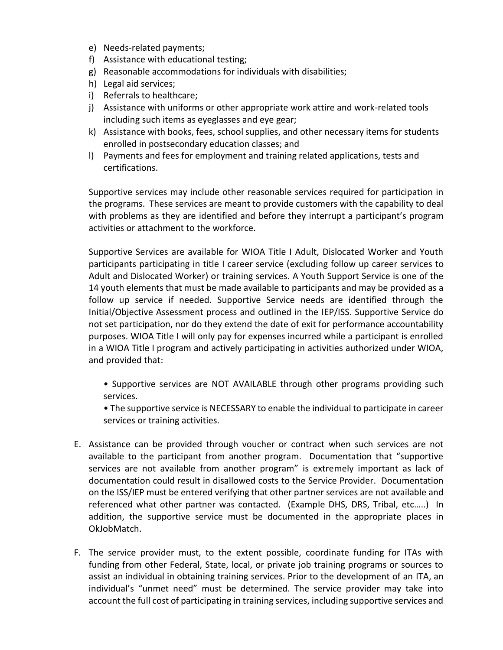- e) Needs-related payments;
- f) Assistance with educational testing;
- g) Reasonable accommodations for individuals with disabilities;
- h) Legal aid services;
- i) Referrals to healthcare;
- j) Assistance with uniforms or other appropriate work attire and work-related tools including such items as eyeglasses and eye gear;
- k) Assistance with books, fees, school supplies, and other necessary items for students enrolled in postsecondary education classes; and
- l) Payments and fees for employment and training related applications, tests and certifications.

Supportive services may include other reasonable services required for participation in the programs. These services are meant to provide customers with the capability to deal with problems as they are identified and before they interrupt a participant's program activities or attachment to the workforce.

Supportive Services are available for WIOA Title I Adult, Dislocated Worker and Youth participants participating in title I career service (excluding follow up career services to Adult and Dislocated Worker) or training services. A Youth Support Service is one of the 14 youth elements that must be made available to participants and may be provided as a follow up service if needed. Supportive Service needs are identified through the Initial/Objective Assessment process and outlined in the IEP/ISS. Supportive Service do not set participation, nor do they extend the date of exit for performance accountability purposes. WIOA Title I will only pay for expenses incurred while a participant is enrolled in a WIOA Title I program and actively participating in activities authorized under WIOA, and provided that:

• Supportive services are NOT AVAILABLE through other programs providing such services.

• The supportive service is NECESSARY to enable the individual to participate in career services or training activities.

- E. Assistance can be provided through voucher or contract when such services are not available to the participant from another program. Documentation that "supportive services are not available from another program" is extremely important as lack of documentation could result in disallowed costs to the Service Provider. Documentation on the ISS/IEP must be entered verifying that other partner services are not available and referenced what other partner was contacted. (Example DHS, DRS, Tribal, etc…..) In addition, the supportive service must be documented in the appropriate places in OkJobMatch.
- F. The service provider must, to the extent possible, coordinate funding for ITAs with funding from other Federal, State, local, or private job training programs or sources to assist an individual in obtaining training services. Prior to the development of an ITA, an individual's "unmet need" must be determined. The service provider may take into account the full cost of participating in training services, including supportive services and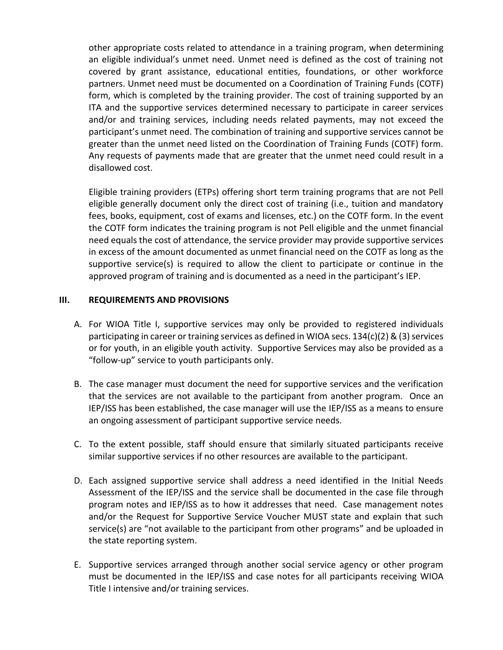other appropriate costs related to attendance in a training program, when determining an eligible individual's unmet need. Unmet need is defined as the cost of training not covered by grant assistance, educational entities, foundations, or other workforce partners. Unmet need must be documented on a Coordination of Training Funds (COTF) form, which is completed by the training provider. The cost of training supported by an ITA and the supportive services determined necessary to participate in career services and/or and training services, including needs related payments, may not exceed the participant's unmet need. The combination of training and supportive services cannot be greater than the unmet need listed on the Coordination of Training Funds (COTF) form. Any requests of payments made that are greater that the unmet need could result in a disallowed cost.

Eligible training providers (ETPs) offering short term training programs that are not Pell eligible generally document only the direct cost of training (i.e., tuition and mandatory fees, books, equipment, cost of exams and licenses, etc.) on the COTF form. In the event the COTF form indicates the training program is not Pell eligible and the unmet financial need equals the cost of attendance, the service provider may provide supportive services in excess of the amount documented as unmet financial need on the COTF as long as the supportive service(s) is required to allow the client to participate or continue in the approved program of training and is documented as a need in the participant's IEP.

#### **III. REQUIREMENTS AND PROVISIONS**

- A. For WIOA Title I, supportive services may only be provided to registered individuals participating in career or training services as defined in WIOA secs.  $134(c)(2)$  & (3) services or for youth, in an eligible youth activity. Supportive Services may also be provided as a "follow-up" service to youth participants only.
- B. The case manager must document the need for supportive services and the verification that the services are not available to the participant from another program. Once an IEP/ISS has been established, the case manager will use the IEP/ISS as a means to ensure an ongoing assessment of participant supportive service needs.
- C. To the extent possible, staff should ensure that similarly situated participants receive similar supportive services if no other resources are available to the participant.
- D. Each assigned supportive service shall address a need identified in the Initial Needs Assessment of the IEP/ISS and the service shall be documented in the case file through program notes and IEP/ISS as to how it addresses that need. Case management notes and/or the Request for Supportive Service Voucher MUST state and explain that such service(s) are "not available to the participant from other programs" and be uploaded in the state reporting system.
- E. Supportive services arranged through another social service agency or other program must be documented in the IEP/ISS and case notes for all participants receiving WIOA Title I intensive and/or training services.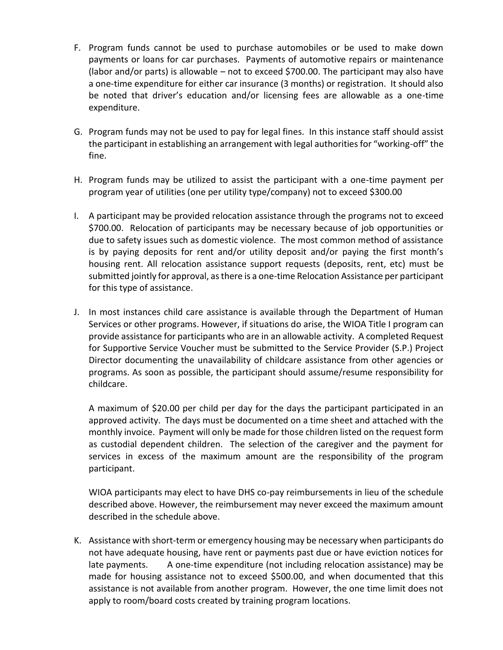- F. Program funds cannot be used to purchase automobiles or be used to make down payments or loans for car purchases. Payments of automotive repairs or maintenance (labor and/or parts) is allowable – not to exceed \$700.00. The participant may also have a one-time expenditure for either car insurance (3 months) or registration. It should also be noted that driver's education and/or licensing fees are allowable as a one-time expenditure.
- G. Program funds may not be used to pay for legal fines. In this instance staff should assist the participant in establishing an arrangement with legal authorities for "working-off" the fine.
- H. Program funds may be utilized to assist the participant with a one-time payment per program year of utilities (one per utility type/company) not to exceed \$300.00
- I. A participant may be provided relocation assistance through the programs not to exceed \$700.00. Relocation of participants may be necessary because of job opportunities or due to safety issues such as domestic violence. The most common method of assistance is by paying deposits for rent and/or utility deposit and/or paying the first month's housing rent. All relocation assistance support requests (deposits, rent, etc) must be submitted jointly for approval, as there is a one-time Relocation Assistance per participant for this type of assistance.
- J. In most instances child care assistance is available through the Department of Human Services or other programs. However, if situations do arise, the WIOA Title I program can provide assistance for participants who are in an allowable activity. A completed Request for Supportive Service Voucher must be submitted to the Service Provider (S.P.) Project Director documenting the unavailability of childcare assistance from other agencies or programs. As soon as possible, the participant should assume/resume responsibility for childcare.

A maximum of \$20.00 per child per day for the days the participant participated in an approved activity. The days must be documented on a time sheet and attached with the monthly invoice. Payment will only be made for those children listed on the request form as custodial dependent children. The selection of the caregiver and the payment for services in excess of the maximum amount are the responsibility of the program participant.

WIOA participants may elect to have DHS co-pay reimbursements in lieu of the schedule described above. However, the reimbursement may never exceed the maximum amount described in the schedule above.

K. Assistance with short-term or emergency housing may be necessary when participants do not have adequate housing, have rent or payments past due or have eviction notices for late payments. A one-time expenditure (not including relocation assistance) may be made for housing assistance not to exceed \$500.00, and when documented that this assistance is not available from another program. However, the one time limit does not apply to room/board costs created by training program locations.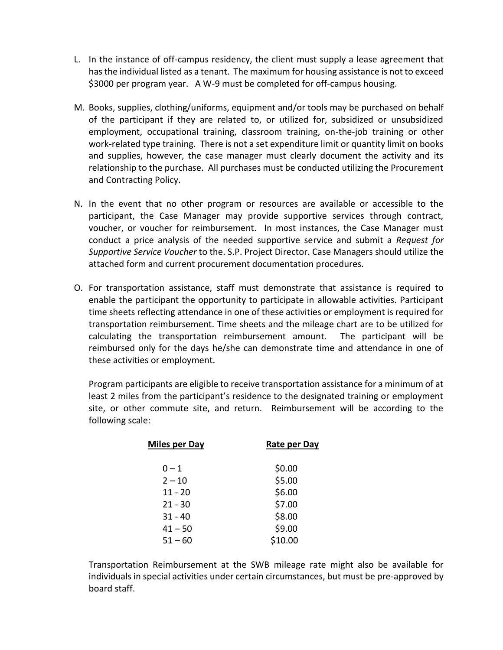- L. In the instance of off-campus residency, the client must supply a lease agreement that has the individual listed as a tenant. The maximum for housing assistance is not to exceed \$3000 per program year. A W-9 must be completed for off-campus housing.
- M. Books, supplies, clothing/uniforms, equipment and/or tools may be purchased on behalf of the participant if they are related to, or utilized for, subsidized or unsubsidized employment, occupational training, classroom training, on-the-job training or other work-related type training. There is not a set expenditure limit or quantity limit on books and supplies, however, the case manager must clearly document the activity and its relationship to the purchase. All purchases must be conducted utilizing the Procurement and Contracting Policy.
- N. In the event that no other program or resources are available or accessible to the participant, the Case Manager may provide supportive services through contract, voucher, or voucher for reimbursement. In most instances, the Case Manager must conduct a price analysis of the needed supportive service and submit a *Request for Supportive Service Voucher* to the. S.P. Project Director. Case Managers should utilize the attached form and current procurement documentation procedures.
- O. For transportation assistance, staff must demonstrate that assistance is required to enable the participant the opportunity to participate in allowable activities. Participant time sheets reflecting attendance in one of these activities or employment is required for transportation reimbursement. Time sheets and the mileage chart are to be utilized for calculating the transportation reimbursement amount. The participant will be reimbursed only for the days he/she can demonstrate time and attendance in one of these activities or employment.

Program participants are eligible to receive transportation assistance for a minimum of at least 2 miles from the participant's residence to the designated training or employment site, or other commute site, and return. Reimbursement will be according to the following scale:

| <b>Miles per Day</b> | Rate per Day |
|----------------------|--------------|
| $0 - 1$              | \$0.00       |
| $2 - 10$             | \$5.00       |
| $11 - 20$            | \$6.00       |
| $21 - 30$            | \$7.00       |
| $31 - 40$            | \$8.00       |
| $41 - 50$            | \$9.00       |
| $51 - 60$            | \$10.00      |

Transportation Reimbursement at the SWB mileage rate might also be available for individuals in special activities under certain circumstances, but must be pre-approved by board staff.